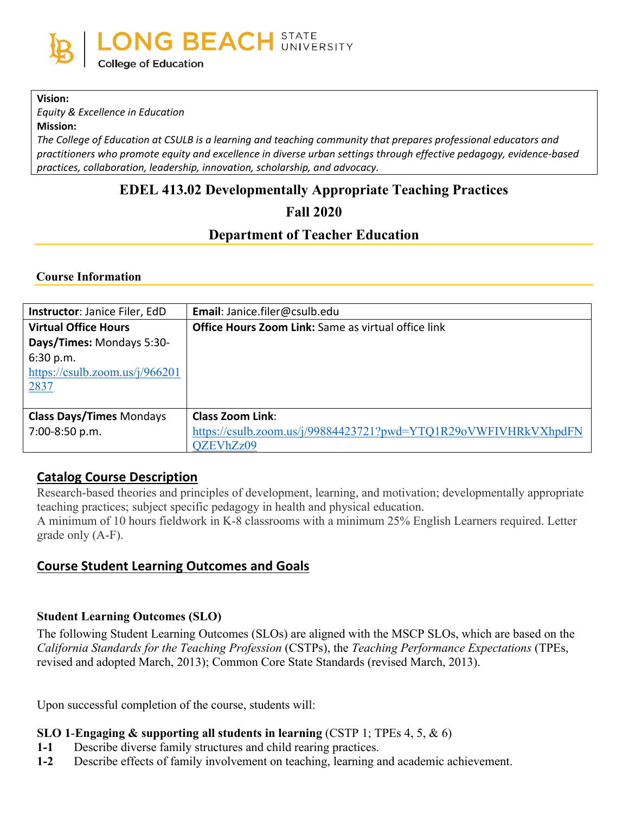

#### **Vision:**

*Equity & Excellence in Education*

**Mission:**

*The College of Education at CSULB is a learning and teaching community that prepares professional educators and practitioners who promote equity and excellence in diverse urban settings through effective pedagogy, evidence-based practices, collaboration, leadership, innovation, scholarship, and advocacy.*

# **EDEL 413.02 Developmentally Appropriate Teaching Practices**

**Fall 2020**

## **Department of Teacher Education**

#### **Course Information**

| Instructor: Janice Filer, EdD     | Email: Janice.filer@csulb.edu                                   |
|-----------------------------------|-----------------------------------------------------------------|
| <b>Virtual Office Hours</b>       | <b>Office Hours Zoom Link:</b> Same as virtual office link      |
| Days/Times: Mondays 5:30-         |                                                                 |
| 6:30 p.m.                         |                                                                 |
| https://csulb.zoom.us/ $i/966201$ |                                                                 |
| 2837                              |                                                                 |
|                                   |                                                                 |
| <b>Class Days/Times Mondays</b>   | <b>Class Zoom Link:</b>                                         |
| 7:00-8:50 p.m.                    | https://csulb.zoom.us/j/99884423721?pwd=YTQ1R29oVWFIVHRkVXhpdFN |
|                                   | QZEVhZz09                                                       |

### **Catalog Course Description**

Research-based theories and principles of development, learning, and motivation; developmentally appropriate teaching practices; subject specific pedagogy in health and physical education.

A minimum of 10 hours fieldwork in K-8 classrooms with a minimum 25% English Learners required. Letter grade only (A-F).

## **Course Student Learning Outcomes and Goals**

#### **Student Learning Outcomes (SLO)**

The following Student Learning Outcomes (SLOs) are aligned with the MSCP SLOs, which are based on the *California Standards for the Teaching Profession* (CSTPs), the *Teaching Performance Expectations* (TPEs, revised and adopted March, 2013); Common Core State Standards (revised March, 2013).

Upon successful completion of the course, students will:

#### **SLO 1**-**Engaging & supporting all students in learning** (CSTP 1; TPEs 4, 5, & 6)

- **1-1** Describe diverse family structures and child rearing practices.
- **1-2** Describe effects of family involvement on teaching, learning and academic achievement.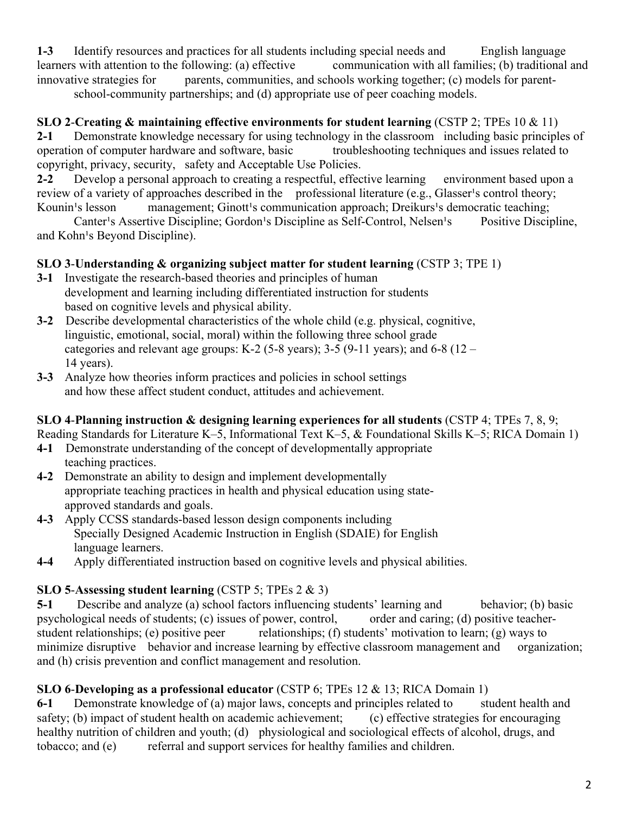**1-3** Identify resources and practices for all students including special needs and English language learners with attention to the following: (a) effective communication with all families; (b) traditional and innovative strategies for parents, communities, and schools working together; (c) models for parentschool-community partnerships; and (d) appropriate use of peer coaching models.

**SLO 2**-**Creating & maintaining effective environments for student learning** (CSTP 2; TPEs 10 & 11)

**2-1** Demonstrate knowledge necessary for using technology in the classroom including basic principles of operation of computer hardware and software, basic troubleshooting techniques and issues related to copyright, privacy, security, safety and Acceptable Use Policies.

**2-2** Develop a personal approach to creating a respectful, effective learning environment based upon a review of a variety of approaches described in the professional literature (e.g., Glasser<sup>1</sup>s control theory; Kounin<sup>1</sup>s lesson management; Ginott<sup>1</sup>s communication approach; Dreikurs<sup>1</sup>s democratic teaching;

Canter's Assertive Discipline; Gordon's Discipline as Self-Control, Nelsen's Positive Discipline, and Kohn<sup>1</sup>s Beyond Discipline).

### **SLO 3**-**Understanding & organizing subject matter for student learning** (CSTP 3; TPE 1)

- **3-1** Investigate the research-based theories and principles of human development and learning including differentiated instruction for students based on cognitive levels and physical ability.
- **3-2** Describe developmental characteristics of the whole child (e.g. physical, cognitive, linguistic, emotional, social, moral) within the following three school grade categories and relevant age groups: K-2 (5-8 years); 3-5 (9-11 years); and 6-8 (12 – 14 years).
- **3-3** Analyze how theories inform practices and policies in school settings and how these affect student conduct, attitudes and achievement.

### **SLO 4**-**Planning instruction & designing learning experiences for all students** (CSTP 4; TPEs 7, 8, 9;

Reading Standards for Literature K–5, Informational Text K–5, & Foundational Skills K–5; RICA Domain 1)

- **4-1** Demonstrate understanding of the concept of developmentally appropriate teaching practices.
- **4-2** Demonstrate an ability to design and implement developmentally appropriate teaching practices in health and physical education using stateapproved standards and goals.
- **4-3** Apply CCSS standards-based lesson design components including Specially Designed Academic Instruction in English (SDAIE) for English language learners.
- **4-4** Apply differentiated instruction based on cognitive levels and physical abilities.

### **SLO 5**-**Assessing student learning** (CSTP 5; TPEs 2 & 3)

**5-1** Describe and analyze (a) school factors influencing students' learning and behavior; (b) basic psychological needs of students; (c) issues of power, control, order and caring; (d) positive teacherstudent relationships; (e) positive peer relationships; (f) students' motivation to learn; (g) ways to minimize disruptive behavior and increase learning by effective classroom management and organization; and (h) crisis prevention and conflict management and resolution.

## **SLO 6**-**Developing as a professional educator** (CSTP 6; TPEs 12 & 13; RICA Domain 1)

**6-1** Demonstrate knowledge of (a) major laws, concepts and principles related to student health and safety; (b) impact of student health on academic achievement; (c) effective strategies for encouraging healthy nutrition of children and youth; (d) physiological and sociological effects of alcohol, drugs, and tobacco; and (e) referral and support services for healthy families and children.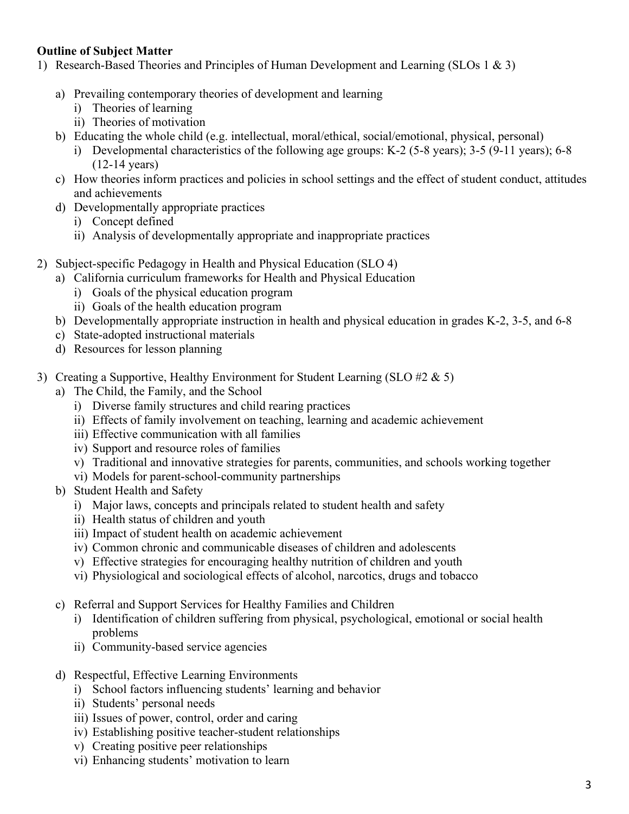#### **Outline of Subject Matter**

- 1) Research-Based Theories and Principles of Human Development and Learning (SLOs 1 & 3)
	- a) Prevailing contemporary theories of development and learning
		- i) Theories of learning
		- ii) Theories of motivation
	- b) Educating the whole child (e.g. intellectual, moral/ethical, social/emotional, physical, personal)
		- i) Developmental characteristics of the following age groups: K-2 (5-8 years); 3-5 (9-11 years); 6-8 (12-14 years)
	- c) How theories inform practices and policies in school settings and the effect of student conduct, attitudes and achievements
	- d) Developmentally appropriate practices
		- i) Concept defined
		- ii) Analysis of developmentally appropriate and inappropriate practices
- 2) Subject-specific Pedagogy in Health and Physical Education (SLO 4)
	- a) California curriculum frameworks for Health and Physical Education
		- i) Goals of the physical education program
		- ii) Goals of the health education program
	- b) Developmentally appropriate instruction in health and physical education in grades K-2, 3-5, and 6-8
	- c) State-adopted instructional materials
	- d) Resources for lesson planning
- 3) Creating a Supportive, Healthy Environment for Student Learning (SLO #2  $\&$  5)
	- a) The Child, the Family, and the School
		- i) Diverse family structures and child rearing practices
		- ii) Effects of family involvement on teaching, learning and academic achievement
		- iii) Effective communication with all families
		- iv) Support and resource roles of families
		- v) Traditional and innovative strategies for parents, communities, and schools working together
		- vi) Models for parent-school-community partnerships
	- b) Student Health and Safety
		- i) Major laws, concepts and principals related to student health and safety
		- ii) Health status of children and youth
		- iii) Impact of student health on academic achievement
		- iv) Common chronic and communicable diseases of children and adolescents
		- v) Effective strategies for encouraging healthy nutrition of children and youth
		- vi) Physiological and sociological effects of alcohol, narcotics, drugs and tobacco
	- c) Referral and Support Services for Healthy Families and Children
		- i) Identification of children suffering from physical, psychological, emotional or social health problems
		- ii) Community-based service agencies
	- d) Respectful, Effective Learning Environments
		- i) School factors influencing students' learning and behavior
		- ii) Students' personal needs
		- iii) Issues of power, control, order and caring
		- iv) Establishing positive teacher-student relationships
		- v) Creating positive peer relationships
		- vi) Enhancing students' motivation to learn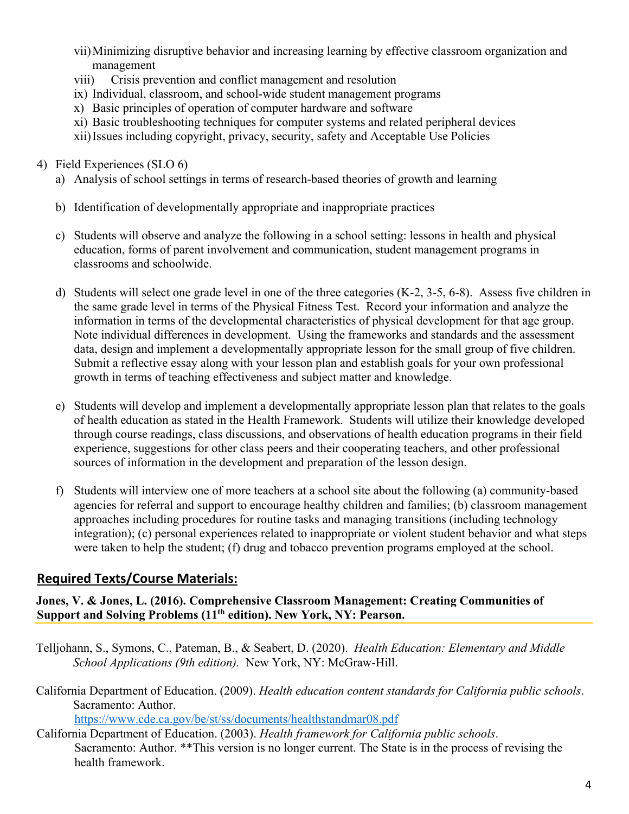- vii)Minimizing disruptive behavior and increasing learning by effective classroom organization and management
- viii) Crisis prevention and conflict management and resolution
- ix) Individual, classroom, and school-wide student management programs
- x) Basic principles of operation of computer hardware and software
- xi) Basic troubleshooting techniques for computer systems and related peripheral devices
- xii)Issues including copyright, privacy, security, safety and Acceptable Use Policies

### 4) Field Experiences (SLO 6)

- a) Analysis of school settings in terms of research-based theories of growth and learning
- b) Identification of developmentally appropriate and inappropriate practices
- c) Students will observe and analyze the following in a school setting: lessons in health and physical education, forms of parent involvement and communication, student management programs in classrooms and schoolwide.
- d) Students will select one grade level in one of the three categories (K-2, 3-5, 6-8). Assess five children in the same grade level in terms of the Physical Fitness Test. Record your information and analyze the information in terms of the developmental characteristics of physical development for that age group. Note individual differences in development. Using the frameworks and standards and the assessment data, design and implement a developmentally appropriate lesson for the small group of five children. Submit a reflective essay along with your lesson plan and establish goals for your own professional growth in terms of teaching effectiveness and subject matter and knowledge.
- e) Students will develop and implement a developmentally appropriate lesson plan that relates to the goals of health education as stated in the Health Framework. Students will utilize their knowledge developed through course readings, class discussions, and observations of health education programs in their field experience, suggestions for other class peers and their cooperating teachers, and other professional sources of information in the development and preparation of the lesson design.
- f) Students will interview one of more teachers at a school site about the following (a) community-based agencies for referral and support to encourage healthy children and families; (b) classroom management approaches including procedures for routine tasks and managing transitions (including technology integration); (c) personal experiences related to inappropriate or violent student behavior and what steps were taken to help the student; (f) drug and tobacco prevention programs employed at the school.

# **Required Texts/Course Materials:**

#### **Jones, V. & Jones, L. (2016). Comprehensive Classroom Management: Creating Communities of Support and Solving Problems (11th edition). New York, NY: Pearson.**

- Telljohann, S., Symons, C., Pateman, B., & Seabert, D. (2020). *Health Education: Elementary and Middle School Applications (9th edition).* New York, NY: McGraw-Hill.
- California Department of Education. (2009). *Health education content standards for California public schools*. Sacramento: Author.

<https://www.cde.ca.gov/be/st/ss/documents/healthstandmar08.pdf>

California Department of Education. (2003). *Health framework for California public schools*. Sacramento: Author. \*\*This version is no longer current. The State is in the process of revising the health framework.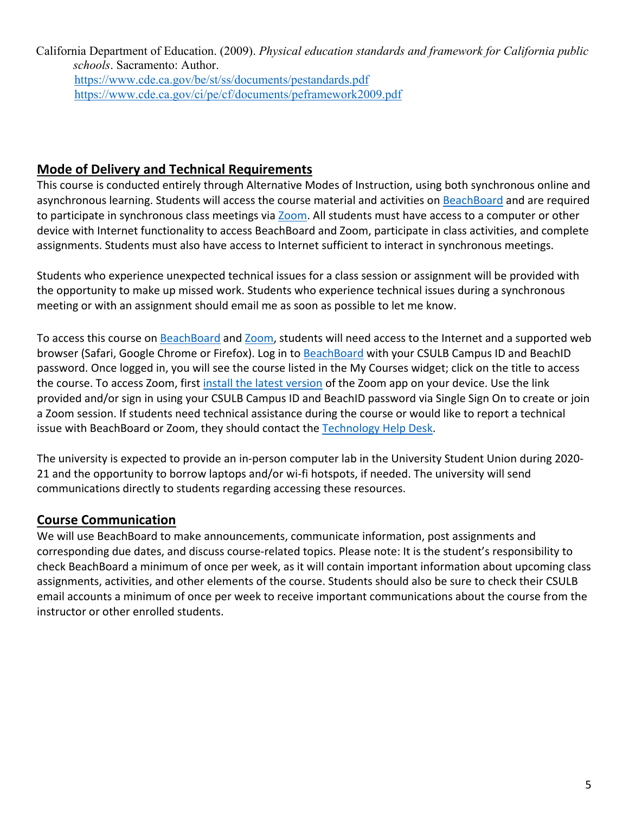California Department of Education. (2009). *Physical education standards and framework for California public schools*. Sacramento: Author. <https://www.cde.ca.gov/be/st/ss/documents/pestandards.pdf> <https://www.cde.ca.gov/ci/pe/cf/documents/peframework2009.pdf>

### **Mode of Delivery and Technical Requirements**

This course is conducted entirely through Alternative Modes of Instruction, using both synchronous online and asynchronous learning. Students will access the course material and activities on [BeachBoard](https://bbcsulb.desire2learn.com/d2l/home) and are required to participate in synchronous class meetings via [Zoom.](https://csulb.zoom.us/meeting) All students must have access to a computer or other device with Internet functionality to access BeachBoard and Zoom, participate in class activities, and complete assignments. Students must also have access to Internet sufficient to interact in synchronous meetings.

Students who experience unexpected technical issues for a class session or assignment will be provided with the opportunity to make up missed work. Students who experience technical issues during a synchronous meeting or with an assignment should email me as soon as possible to let me know.

To access this course on BeachBoard and [Zoom,](https://csulb.zoom.us/meeting) students will need access to the Internet and a supported web browser (Safari, Google Chrome or Firefox). Log in to [BeachBoard](https://bbcsulb.desire2learn.com/) with your CSULB Campus ID and BeachID password. Once logged in, you will see the course listed in the My Courses widget; click on the title to access the course. To access Zoom, first [install the latest version](https://zoom.us/download) of the Zoom app on your device. Use the link provided and/or sign in using your CSULB Campus ID and BeachID password via Single Sign On to create or join a Zoom session. If students need technical assistance during the course or would like to report a technical issue with BeachBoard or Zoom, they should contact the [Technology](https://www.csulb.edu/academic-technology-services/academic-technology-resources-for-students) Help Desk.

The university is expected to provide an in-person computer lab in the University Student Union during 2020- 21 and the opportunity to borrow laptops and/or wi-fi hotspots, if needed. The university will send communications directly to students regarding accessing these resources.

## **Course Communication**

We will use BeachBoard to make announcements, communicate information, post assignments and corresponding due dates, and discuss course-related topics. Please note: It is the student's responsibility to check BeachBoard a minimum of once per week, as it will contain important information about upcoming class assignments, activities, and other elements of the course. Students should also be sure to check their CSULB email accounts a minimum of once per week to receive important communications about the course from the instructor or other enrolled students.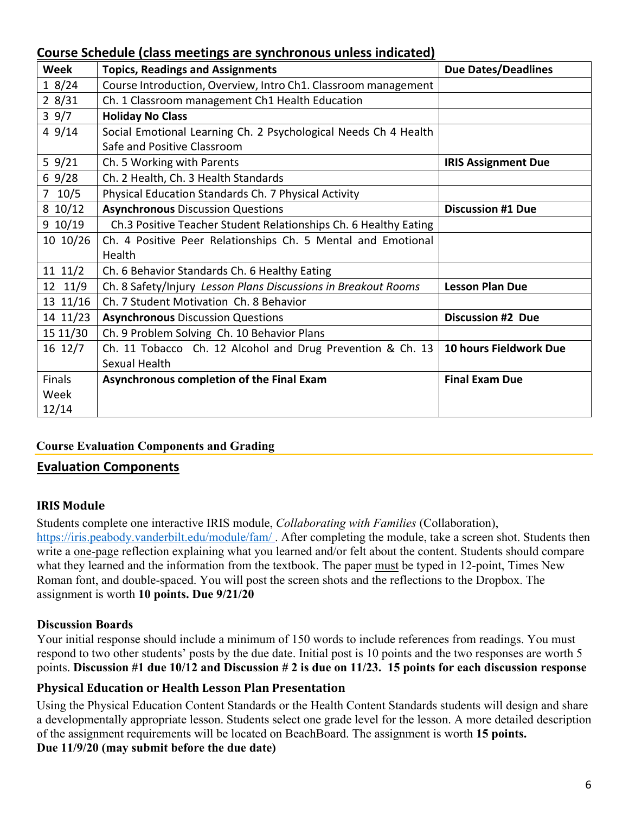### **Course Schedule (class meetings are synchronous unless indicated)**

| <b>Week</b>   | <b>Topics, Readings and Assignments</b>                          | <b>Due Dates/Deadlines</b> |  |
|---------------|------------------------------------------------------------------|----------------------------|--|
| 18/24         | Course Introduction, Overview, Intro Ch1. Classroom management   |                            |  |
| 28/31         | Ch. 1 Classroom management Ch1 Health Education                  |                            |  |
| 39/7          | <b>Holiday No Class</b>                                          |                            |  |
| 49/14         | Social Emotional Learning Ch. 2 Psychological Needs Ch 4 Health  |                            |  |
|               | Safe and Positive Classroom                                      |                            |  |
| 59/21         | Ch. 5 Working with Parents                                       | <b>IRIS Assignment Due</b> |  |
| 69/28         | Ch. 2 Health, Ch. 3 Health Standards                             |                            |  |
| $7 \t10/5$    | Physical Education Standards Ch. 7 Physical Activity             |                            |  |
| $8\ 10/12$    | <b>Asynchronous Discussion Questions</b>                         | <b>Discussion #1 Due</b>   |  |
| 9 10/19       | Ch.3 Positive Teacher Student Relationships Ch. 6 Healthy Eating |                            |  |
| 10 10/26      | Ch. 4 Positive Peer Relationships Ch. 5 Mental and Emotional     |                            |  |
|               | Health                                                           |                            |  |
| 11 11/2       | Ch. 6 Behavior Standards Ch. 6 Healthy Eating                    |                            |  |
| 12 11/9       | Ch. 8 Safety/Injury Lesson Plans Discussions in Breakout Rooms   | <b>Lesson Plan Due</b>     |  |
| 13 11/16      | Ch. 7 Student Motivation Ch. 8 Behavior                          |                            |  |
| 14 11/23      | <b>Asynchronous Discussion Questions</b>                         | <b>Discussion #2 Due</b>   |  |
| 15 11/30      | Ch. 9 Problem Solving Ch. 10 Behavior Plans                      |                            |  |
| 16 12/7       | Ch. 11 Tobacco Ch. 12 Alcohol and Drug Prevention & Ch. 13       | 10 hours Fieldwork Due     |  |
|               | Sexual Health                                                    |                            |  |
| <b>Finals</b> | Asynchronous completion of the Final Exam                        | <b>Final Exam Due</b>      |  |
| Week          |                                                                  |                            |  |
| 12/14         |                                                                  |                            |  |

## **Course Evaluation Components and Grading**

### **Evaluation Components**

### **IRIS Module**

Students complete one interactive IRIS module, *Collaborating with Families* (Collaboration), <https://iris.peabody.vanderbilt.edu/module/fam/> . After completing the module, take a screen shot. Students then write a one-page reflection explaining what you learned and/or felt about the content. Students should compare what they learned and the information from the textbook. The paper must be typed in 12-point, Times New Roman font, and double-spaced. You will post the screen shots and the reflections to the Dropbox. The

assignment is worth **10 points. Due 9/21/20**

### **Discussion Boards**

Your initial response should include a minimum of 150 words to include references from readings. You must respond to two other students' posts by the due date. Initial post is 10 points and the two responses are worth 5 points. **Discussion #1 due 10/12 and Discussion # 2 is due on 11/23. 15 points for each discussion response**

### **Physical Education or Health Lesson Plan Presentation**

Using the Physical Education Content Standards or the Health Content Standards students will design and share a developmentally appropriate lesson. Students select one grade level for the lesson. A more detailed description of the assignment requirements will be located on BeachBoard. The assignment is worth **15 points. Due 11/9/20 (may submit before the due date)**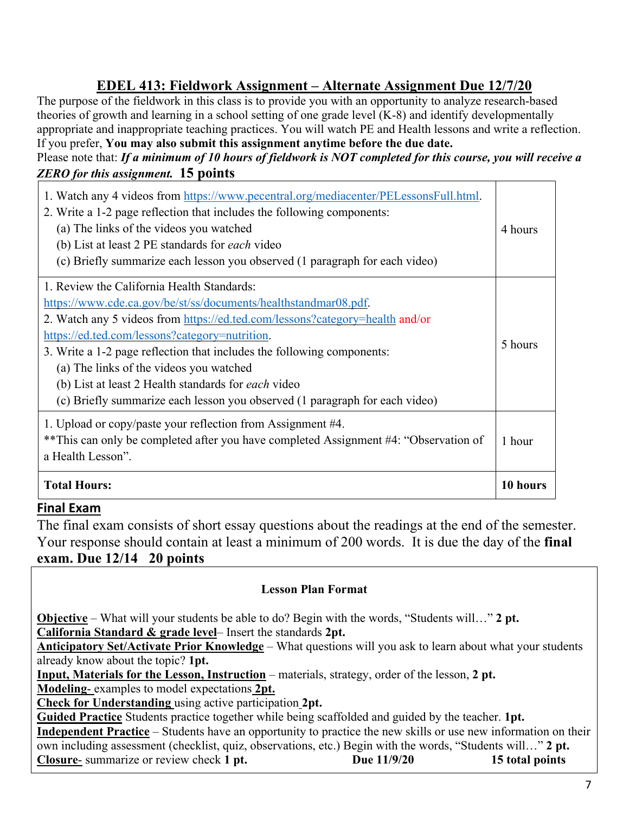# **EDEL 413: Fieldwork Assignment – Alternate Assignment Due 12/7/20**

The purpose of the fieldwork in this class is to provide you with an opportunity to analyze research-based theories of growth and learning in a school setting of one grade level (K-8) and identify developmentally appropriate and inappropriate teaching practices. You will watch PE and Health lessons and write a reflection. If you prefer, **You may also submit this assignment anytime before the due date.**

### Please note that: *If a minimum of 10 hours of fieldwork is NOT completed for this course, you will receive a ZERO for this assignment.* **15 points**

| 1. Watch any 4 videos from https://www.pecentral.org/mediacenter/PELessonsFull.html.<br>2. Write a 1-2 page reflection that includes the following components:<br>(a) The links of the videos you watched<br>(b) List at least 2 PE standards for <i>each</i> video<br>(c) Briefly summarize each lesson you observed (1 paragraph for each video) | 4 hours  |  |
|----------------------------------------------------------------------------------------------------------------------------------------------------------------------------------------------------------------------------------------------------------------------------------------------------------------------------------------------------|----------|--|
| 1. Review the California Health Standards:                                                                                                                                                                                                                                                                                                         |          |  |
| https://www.cde.ca.gov/be/st/ss/documents/healthstandmar08.pdf.                                                                                                                                                                                                                                                                                    |          |  |
| 2. Watch any 5 videos from https://ed.ted.com/lessons?category=health and/or                                                                                                                                                                                                                                                                       |          |  |
| https://ed.ted.com/lessons?category=nutrition.                                                                                                                                                                                                                                                                                                     |          |  |
| 3. Write a 1-2 page reflection that includes the following components:                                                                                                                                                                                                                                                                             |          |  |
| (a) The links of the videos you watched                                                                                                                                                                                                                                                                                                            |          |  |
| (b) List at least 2 Health standards for <i>each</i> video                                                                                                                                                                                                                                                                                         |          |  |
| (c) Briefly summarize each lesson you observed (1 paragraph for each video)                                                                                                                                                                                                                                                                        |          |  |
| 1. Upload or copy/paste your reflection from Assignment #4.                                                                                                                                                                                                                                                                                        |          |  |
| **This can only be completed after you have completed Assignment #4: "Observation of                                                                                                                                                                                                                                                               | 1 hour   |  |
| a Health Lesson".                                                                                                                                                                                                                                                                                                                                  |          |  |
| <b>Total Hours:</b>                                                                                                                                                                                                                                                                                                                                | 10 hours |  |

## **Final Exam**

The final exam consists of short essay questions about the readings at the end of the semester. Your response should contain at least a minimum of 200 words. It is due the day of the **final exam. Due 12/14 20 points**

### **Lesson Plan Format**

**Objective** – What will your students be able to do? Begin with the words, "Students will…" **2 pt. California Standard & grade level**– Insert the standards **2pt.**

**Anticipatory Set/Activate Prior Knowledge** – What questions will you ask to learn about what your students already know about the topic? **1pt.**

**Input, Materials for the Lesson, Instruction** – materials, strategy, order of the lesson, **2 pt.**

**Modeling**- examples to model expectations **2pt.**

**Check for Understanding** using active participation **2pt.**

**Guided Practice** Students practice together while being scaffolded and guided by the teacher. **1pt. Independent Practice** – Students have an opportunity to practice the new skills or use new information on their own including assessment (checklist, quiz, observations, etc.) Begin with the words, "Students will…" **2 pt. Closure-** summarize or review check 1 pt. Due 11/9/20 15 total points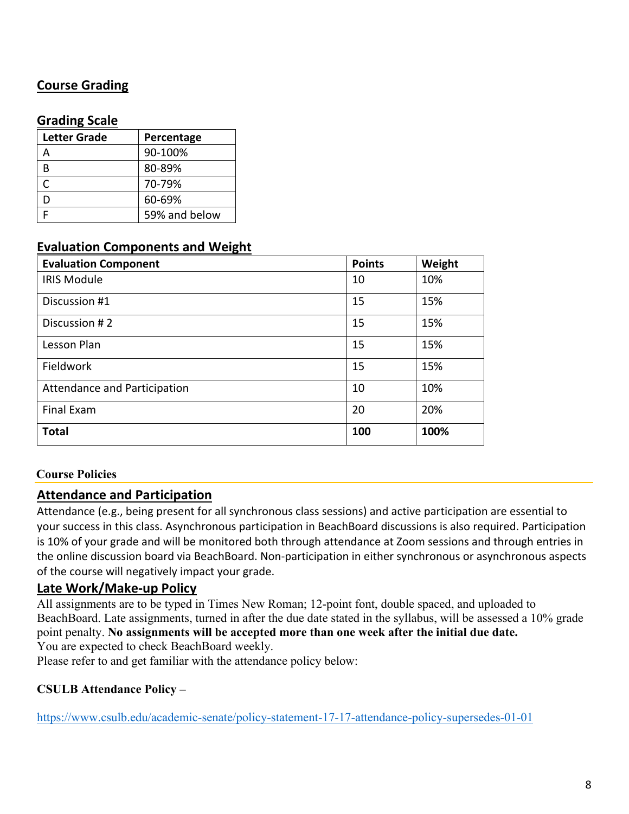# **Course Grading**

### **Grading Scale**

| <b>Letter Grade</b> | Percentage    |  |
|---------------------|---------------|--|
| А                   | 90-100%       |  |
| В                   | 80-89%        |  |
| C                   | 70-79%        |  |
| D                   | 60-69%        |  |
|                     | 59% and below |  |

### **Evaluation Components and Weight**

| <b>Evaluation Component</b>  | <b>Points</b> | Weight |
|------------------------------|---------------|--------|
| <b>IRIS Module</b>           | 10            | 10%    |
| Discussion #1                | 15            | 15%    |
| Discussion #2                | 15            | 15%    |
| Lesson Plan                  | 15            | 15%    |
| Fieldwork                    | 15            | 15%    |
| Attendance and Participation | 10            | 10%    |
| <b>Final Exam</b>            | 20            | 20%    |
| <b>Total</b>                 | 100           | 100%   |

#### **Course Policies**

### **Attendance and Participation**

Attendance (e.g., being present for all synchronous class sessions) and active participation are essential to your success in this class. Asynchronous participation in BeachBoard discussions is also required. Participation is 10% of your grade and will be monitored both through attendance at Zoom sessions and through entries in the online discussion board via BeachBoard. Non-participation in either synchronous or asynchronous aspects of the course will negatively impact your grade.

#### **Late Work/Make-up Policy**

All assignments are to be typed in Times New Roman; 12-point font, double spaced, and uploaded to BeachBoard. Late assignments, turned in after the due date stated in the syllabus, will be assessed a 10% grade point penalty. **No assignments will be accepted more than one week after the initial due date.** You are expected to check BeachBoard weekly.

Please refer to and get familiar with the attendance policy below:

#### **CSULB Attendance Policy –**

<https://www.csulb.edu/academic-senate/policy-statement-17-17-attendance-policy-supersedes-01-01>